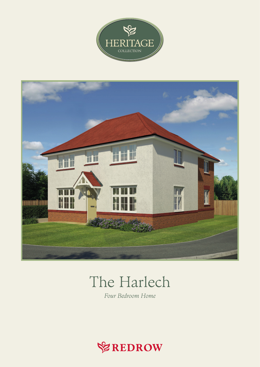



# The Harlech

Four Bedroom Home